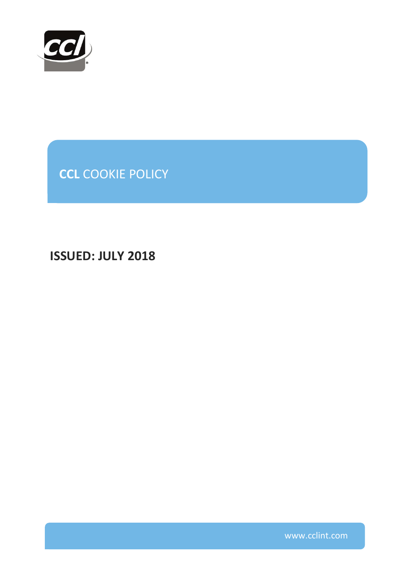

**CCL** COOKIE POLICY

**ISSUED: JULY 2018**

www.cclint.com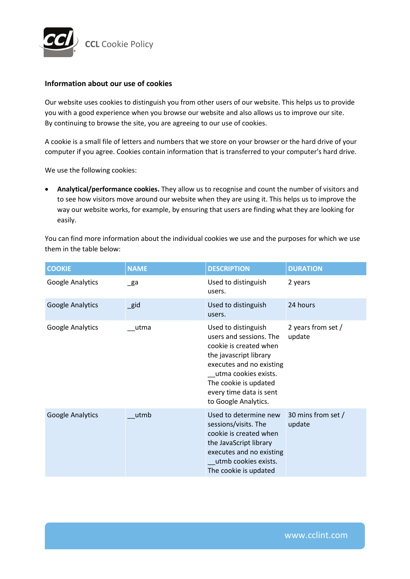

## **Information about our use of cookies**

Our website uses cookies to distinguish you from other users of our website. This helps us to provide you with a good experience when you browse our website and also allows us to improve our site. By continuing to browse the site, you are agreeing to our use of cookies.

A cookie is a small file of letters and numbers that we store on your browser or the hard drive of your computer if you agree. Cookies contain information that is transferred to your computer's hard drive.

We use the following cookies:

 **Analytical/performance cookies.** They allow us to recognise and count the number of visitors and to see how visitors move around our website when they are using it. This helps us to improve the way our website works, for example, by ensuring that users are finding what they are looking for easily.

You can find more information about the individual cookies we use and the purposes for which we use them in the table below:

| <b>COOKIE</b>           | <b>NAME</b>    | <b>DESCRIPTION</b>                                                                                                                                                                                                                 | <b>DURATION</b>              |
|-------------------------|----------------|------------------------------------------------------------------------------------------------------------------------------------------------------------------------------------------------------------------------------------|------------------------------|
| Google Analytics        | $\mathsf{g}$ a | Used to distinguish<br>users.                                                                                                                                                                                                      | 2 years                      |
| <b>Google Analytics</b> | $\_$ gid       | Used to distinguish<br>users.                                                                                                                                                                                                      | 24 hours                     |
| Google Analytics        | utma           | Used to distinguish<br>users and sessions. The<br>cookie is created when<br>the javascript library<br>executes and no existing<br>utma cookies exists.<br>The cookie is updated<br>every time data is sent<br>to Google Analytics. | 2 years from set /<br>update |
| Google Analytics        | utmb           | Used to determine new<br>sessions/visits. The<br>cookie is created when<br>the JavaScript library<br>executes and no existing<br>utmb cookies exists.<br>The cookie is updated                                                     | 30 mins from set /<br>update |